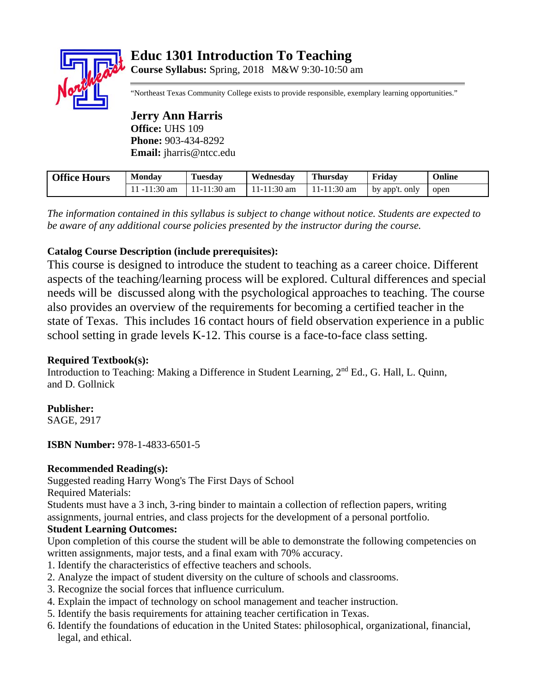# **Educ 1301 Introduction To Teaching**



**Course Syllabus:** Spring, 2018 M&W 9:30-10:50 am

"Northeast Texas Community College exists to provide responsible, exemplary learning opportunities."

**Jerry Ann Harris Office:** UHS 109 **Phone:** 903-434-8292 **Email:** jharris@ntcc.edu

| <b>Office Hours</b> | <b>Monday</b> | <b>Tuesday</b> | Wednesday     | <b>Thursday</b> | Fridav         | Online |
|---------------------|---------------|----------------|---------------|-----------------|----------------|--------|
|                     | .1 -11:30 am  | 11-11:30 am    | $11-11:30$ am | $11-11:30$ am   | by app't. only | open   |

*The information contained in this syllabus is subject to change without notice. Students are expected to be aware of any additional course policies presented by the instructor during the course.* 

# **Catalog Course Description (include prerequisites):**

This course is designed to introduce the student to teaching as a career choice. Different aspects of the teaching/learning process will be explored. Cultural differences and special needs will be discussed along with the psychological approaches to teaching. The course also provides an overview of the requirements for becoming a certified teacher in the state of Texas. This includes 16 contact hours of field observation experience in a public school setting in grade levels K-12. This course is a face-to-face class setting.

# **Required Textbook(s):**

Introduction to Teaching: Making a Difference in Student Learning, 2<sup>nd</sup> Ed., G. Hall, L. Quinn, and D. Gollnick

# **Publisher:**

SAGE, 2917

**ISBN Number:** 978-1-4833-6501-5

## **Recommended Reading(s):**

Suggested reading Harry Wong's The First Days of School

Required Materials:

Students must have a 3 inch, 3-ring binder to maintain a collection of reflection papers, writing assignments, journal entries, and class projects for the development of a personal portfolio.

## **Student Learning Outcomes:**

Upon completion of this course the student will be able to demonstrate the following competencies on written assignments, major tests, and a final exam with 70% accuracy.

- 1. Identify the characteristics of effective teachers and schools.
- 2. Analyze the impact of student diversity on the culture of schools and classrooms.
- 3. Recognize the social forces that influence curriculum.
- 4. Explain the impact of technology on school management and teacher instruction.
- 5. Identify the basis requirements for attaining teacher certification in Texas.
- 6. Identify the foundations of education in the United States: philosophical, organizational, financial, legal, and ethical.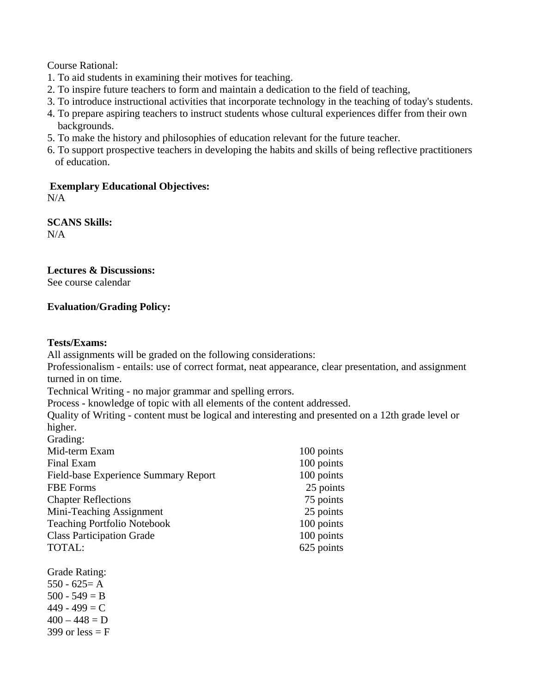Course Rational:

- 1. To aid students in examining their motives for teaching.
- 2. To inspire future teachers to form and maintain a dedication to the field of teaching,
- 3. To introduce instructional activities that incorporate technology in the teaching of today's students.
- 4. To prepare aspiring teachers to instruct students whose cultural experiences differ from their own backgrounds.
- 5. To make the history and philosophies of education relevant for the future teacher.
- 6. To support prospective teachers in developing the habits and skills of being reflective practitioners of education.

**Exemplary Educational Objectives:**  N/A

**SCANS Skills:**  N/A

#### **Lectures & Discussions:**

See course calendar

## **Evaluation/Grading Policy:**

#### **Tests/Exams:**

All assignments will be graded on the following considerations:

Professionalism - entails: use of correct format, neat appearance, clear presentation, and assignment turned in on time.

Technical Writing - no major grammar and spelling errors.

Process - knowledge of topic with all elements of the content addressed.

Quality of Writing - content must be logical and interesting and presented on a 12th grade level or higher. Grading:

| Oraunig.                             |            |
|--------------------------------------|------------|
| Mid-term Exam                        | 100 points |
| Final Exam                           | 100 points |
| Field-base Experience Summary Report | 100 points |
| <b>FBE</b> Forms                     | 25 points  |
| <b>Chapter Reflections</b>           | 75 points  |
| Mini-Teaching Assignment             | 25 points  |
| <b>Teaching Portfolio Notebook</b>   | 100 points |
| <b>Class Participation Grade</b>     | 100 points |
| TOTAL:                               | 625 points |
|                                      |            |

Grade Rating:  $550 - 625 = A$  $500 - 549 = B$  $449 - 499 = C$  $400 - 448 = D$ 399 or less  $=$  F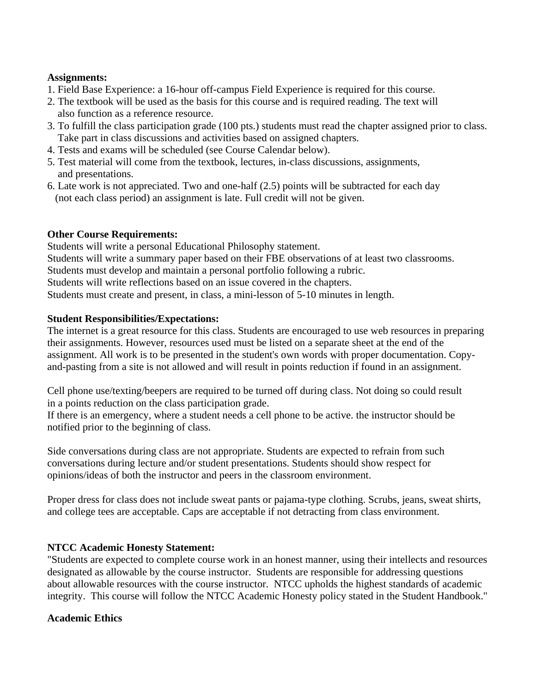#### **Assignments:**

- 1. Field Base Experience: a 16-hour off-campus Field Experience is required for this course.
- 2. The textbook will be used as the basis for this course and is required reading. The text will also function as a reference resource.
- 3. To fulfill the class participation grade (100 pts.) students must read the chapter assigned prior to class. Take part in class discussions and activities based on assigned chapters.
- 4. Tests and exams will be scheduled (see Course Calendar below).
- 5. Test material will come from the textbook, lectures, in-class discussions, assignments, and presentations.
- 6. Late work is not appreciated. Two and one-half (2.5) points will be subtracted for each day (not each class period) an assignment is late. Full credit will not be given.

## **Other Course Requirements:**

Students will write a personal Educational Philosophy statement. Students will write a summary paper based on their FBE observations of at least two classrooms. Students must develop and maintain a personal portfolio following a rubric. Students will write reflections based on an issue covered in the chapters. Students must create and present, in class, a mini-lesson of 5-10 minutes in length.

## **Student Responsibilities/Expectations:**

The internet is a great resource for this class. Students are encouraged to use web resources in preparing their assignments. However, resources used must be listed on a separate sheet at the end of the assignment. All work is to be presented in the student's own words with proper documentation. Copyand-pasting from a site is not allowed and will result in points reduction if found in an assignment.

Cell phone use/texting/beepers are required to be turned off during class. Not doing so could result in a points reduction on the class participation grade.

If there is an emergency, where a student needs a cell phone to be active. the instructor should be notified prior to the beginning of class.

Side conversations during class are not appropriate. Students are expected to refrain from such conversations during lecture and/or student presentations. Students should show respect for opinions/ideas of both the instructor and peers in the classroom environment.

Proper dress for class does not include sweat pants or pajama-type clothing. Scrubs, jeans, sweat shirts, and college tees are acceptable. Caps are acceptable if not detracting from class environment.

# **NTCC Academic Honesty Statement:**

"Students are expected to complete course work in an honest manner, using their intellects and resources designated as allowable by the course instructor. Students are responsible for addressing questions about allowable resources with the course instructor. NTCC upholds the highest standards of academic integrity. This course will follow the NTCC Academic Honesty policy stated in the Student Handbook."

## **Academic Ethics**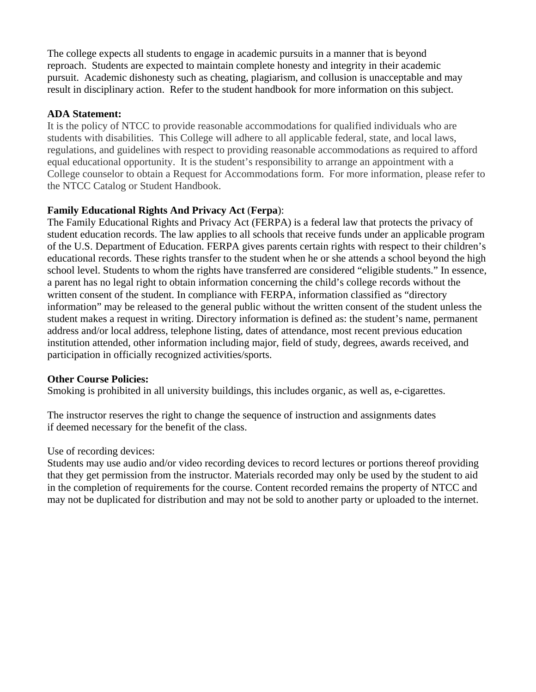The college expects all students to engage in academic pursuits in a manner that is beyond reproach. Students are expected to maintain complete honesty and integrity in their academic pursuit. Academic dishonesty such as cheating, plagiarism, and collusion is unacceptable and may result in disciplinary action. Refer to the student handbook for more information on this subject.

#### **ADA Statement:**

It is the policy of NTCC to provide reasonable accommodations for qualified individuals who are students with disabilities. This College will adhere to all applicable federal, state, and local laws, regulations, and guidelines with respect to providing reasonable accommodations as required to afford equal educational opportunity. It is the student's responsibility to arrange an appointment with a College counselor to obtain a Request for Accommodations form. For more information, please refer to the NTCC Catalog or Student Handbook.

#### **Family Educational Rights And Privacy Act** (**Ferpa**):

The Family Educational Rights and Privacy Act (FERPA) is a federal law that protects the privacy of student education records. The law applies to all schools that receive funds under an applicable program of the U.S. Department of Education. FERPA gives parents certain rights with respect to their children's educational records. These rights transfer to the student when he or she attends a school beyond the high school level. Students to whom the rights have transferred are considered "eligible students." In essence, a parent has no legal right to obtain information concerning the child's college records without the written consent of the student. In compliance with FERPA, information classified as "directory information" may be released to the general public without the written consent of the student unless the student makes a request in writing. Directory information is defined as: the student's name, permanent address and/or local address, telephone listing, dates of attendance, most recent previous education institution attended, other information including major, field of study, degrees, awards received, and participation in officially recognized activities/sports.

#### **Other Course Policies:**

Smoking is prohibited in all university buildings, this includes organic, as well as, e-cigarettes.

The instructor reserves the right to change the sequence of instruction and assignments dates if deemed necessary for the benefit of the class.

#### Use of recording devices:

Students may use audio and/or video recording devices to record lectures or portions thereof providing that they get permission from the instructor. Materials recorded may only be used by the student to aid in the completion of requirements for the course. Content recorded remains the property of NTCC and may not be duplicated for distribution and may not be sold to another party or uploaded to the internet.